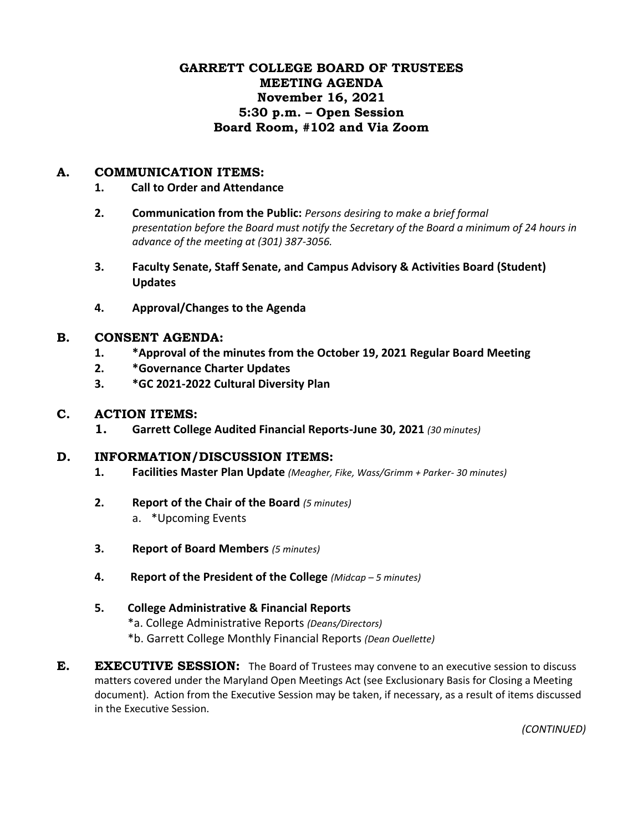# **GARRETT COLLEGE BOARD OF TRUSTEES MEETING AGENDA November 16, 2021 5:30 p.m. – Open Session Board Room, #102 and Via Zoom**

### **A. COMMUNICATION ITEMS:**

#### **1. Call to Order and Attendance**

- **2. Communication from the Public:** *Persons desiring to make a brief formal presentation before the Board must notify the Secretary of the Board a minimum of 24 hours in advance of the meeting at (301) 387-3056.*
- **3. Faculty Senate, Staff Senate, and Campus Advisory & Activities Board (Student) Updates**
- **4. Approval/Changes to the Agenda**

#### **B. CONSENT AGENDA:**

- **1. \*Approval of the minutes from the October 19, 2021 Regular Board Meeting**
- **2. \*Governance Charter Updates**
- **3. \*GC 2021-2022 Cultural Diversity Plan**

### **C. ACTION ITEMS:**

**1. Garrett College Audited Financial Reports-June 30, 2021** *(30 minutes)*

### **D. INFORMATION/DISCUSSION ITEMS:**

- **1. Facilities Master Plan Update** *(Meagher, Fike, Wass/Grimm + Parker- 30 minutes)*
- **2. Report of the Chair of the Board** *(5 minutes)* a. \*Upcoming Events
- **3. Report of Board Members** *(5 minutes)*
- **4. Report of the President of the College** *(Midcap – 5 minutes)*
- **5. College Administrative & Financial Reports**
	- \*a. College Administrative Reports *(Deans/Directors)*
	- \*b. Garrett College Monthly Financial Reports *(Dean Ouellette)*
- **E. EXECUTIVE SESSION:** The Board of Trustees may convene to an executive session to discuss matters covered under the Maryland Open Meetings Act (see Exclusionary Basis for Closing a Meeting document). Action from the Executive Session may be taken, if necessary, as a result of items discussed in the Executive Session.

*(CONTINUED)*